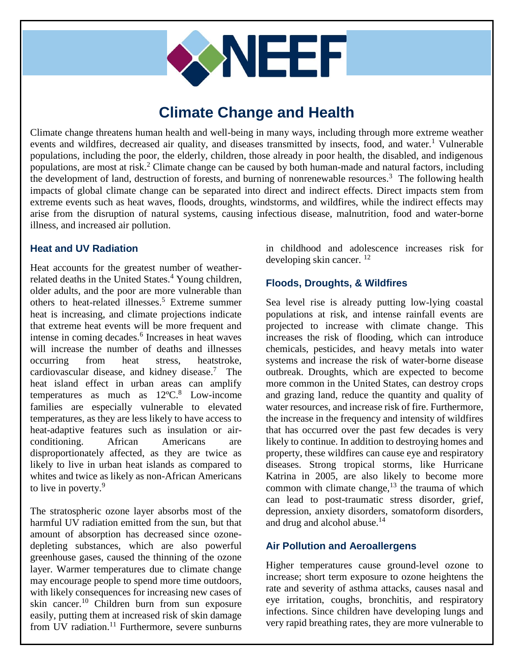

# **Climate Change and Health**

Climate change threatens human health and well-being in many ways, including through more extreme weather events and wildfires, decreased air quality, and diseases transmitted by insects, food, and water.<sup>1</sup> Vulnerable populations, including the poor, the elderly, children, those already in poor health, the disabled, and indigenous populations, are most at risk.<sup>2</sup> Climate change can be caused by both human-made and natural factors, including the development of land, destruction of forests, and burning of nonrenewable resources.<sup>3</sup> The following health impacts of global climate change can be separated into direct and indirect effects. Direct impacts stem from extreme events such as heat waves, floods, droughts, windstorms, and wildfires, while the indirect effects may arise from the disruption of natural systems, causing infectious disease, malnutrition, food and water-borne illness, and increased air pollution.

#### **Heat and UV Radiation**

Heat accounts for the greatest number of weatherrelated deaths in the United States.<sup>4</sup> Young children, older adults, and the poor are more vulnerable than others to heat-related illnesses. <sup>5</sup> Extreme summer heat is increasing, and climate projections indicate that extreme heat events will be more frequent and intense in coming decades.<sup>6</sup> Increases in heat waves will increase the number of deaths and illnesses occurring from heat stress, heatstroke, cardiovascular disease, and kidney disease. 7 The heat island effect in urban areas can amplify temperatures as much as  $12^{\circ}$ C.<sup>8</sup> Low-income families are especially vulnerable to elevated temperatures, as they are less likely to have access to heat-adaptive features such as insulation or airconditioning. African Americans are disproportionately affected, as they are twice as likely to live in urban heat islands as compared to whites and twice as likely as non-African Americans to live in poverty.<sup>9</sup>

The stratospheric ozone layer absorbs most of the harmful UV radiation emitted from the sun, but that amount of absorption has decreased since ozonedepleting substances, which are also powerful greenhouse gases, caused the thinning of the ozone layer. Warmer temperatures due to climate change may encourage people to spend more time outdoors, with likely consequences for increasing new cases of skin cancer. <sup>10</sup> Children burn from sun exposure easily, putting them at increased risk of skin damage from UV radiation. $11$  Furthermore, severe sunburns

in childhood and adolescence increases risk for developing skin cancer. <sup>12</sup>

## **Floods, Droughts, & Wildfires**

Sea level rise is already putting low-lying coastal populations at risk, and intense rainfall events are projected to increase with climate change. This increases the risk of flooding, which can introduce chemicals, pesticides, and heavy metals into water systems and increase the risk of water-borne disease outbreak. Droughts, which are expected to become more common in the United States, can destroy crops and grazing land, reduce the quantity and quality of water resources, and increase risk of fire. Furthermore, the increase in the frequency and intensity of wildfires that has occurred over the past few decades is very likely to continue. In addition to destroying homes and property, these wildfires can cause eye and respiratory diseases. Strong tropical storms, like Hurricane Katrina in 2005, are also likely to become more common with climate change, $13$  the trauma of which can lead to post-traumatic stress disorder, grief, depression, anxiety disorders, somatoform disorders, and drug and alcohol abuse.<sup>14</sup>

### **Air Pollution and Aeroallergens**

Higher temperatures cause ground-level ozone to increase; short term exposure to ozone heightens the rate and severity of asthma attacks, causes nasal and eye irritation, coughs, bronchitis, and respiratory infections. Since children have developing lungs and very rapid breathing rates, they are more vulnerable to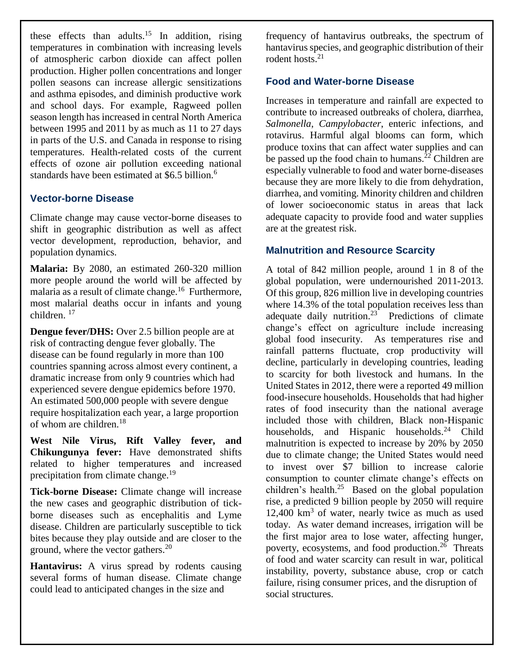these effects than adults.<sup>15</sup> In addition, rising temperatures in combination with increasing levels of atmospheric carbon dioxide can affect pollen production. Higher pollen concentrations and longer pollen seasons can increase allergic sensitizations and asthma episodes, and diminish productive work and school days. For example, Ragweed pollen season length has increased in central North America between 1995 and 2011 by as much as 11 to 27 days in parts of the U.S. and Canada in response to rising temperatures. Health-related costs of the current effects of ozone air pollution exceeding national standards have been estimated at \$6.5 billion.<sup>6</sup>

### **Vector-borne Disease**

Climate change may cause vector-borne diseases to shift in geographic distribution as well as affect vector development, reproduction, behavior, and population dynamics.

**Malaria:** By 2080, an estimated 260-320 million more people around the world will be affected by malaria as a result of climate change.<sup>16</sup> Furthermore, most malarial deaths occur in infants and young children. 17

**Dengue fever/DHS:** Over 2.5 billion people are at risk of contracting dengue fever globally. The disease can be found regularly in more than 100 countries spanning across almost every continent, a dramatic increase from only 9 countries which had experienced severe dengue epidemics before 1970. An estimated 500,000 people with severe dengue require hospitalization each year, a large proportion of whom are children.<sup>18</sup>

**West Nile Virus, Rift Valley fever, and Chikungunya fever:** Have demonstrated shifts related to higher temperatures and increased precipitation from climate change.<sup>19</sup>

**Tick-borne Disease:** Climate change will increase the new cases and geographic distribution of tickborne diseases such as encephalitis and Lyme disease. Children are particularly susceptible to tick bites because they play outside and are closer to the ground, where the vector gathers. $^{20}$ 

**Hantavirus:** A virus spread by rodents causing several forms of human disease. Climate change could lead to anticipated changes in the size and

frequency of hantavirus outbreaks, the spectrum of hantavirus species, and geographic distribution of their rodent hosts. 21

#### **Food and Water-borne Disease**

Increases in temperature and rainfall are expected to contribute to increased outbreaks of cholera, diarrhea, *Salmonella*, *Campylobacter*, enteric infections, and rotavirus. Harmful algal blooms can form, which produce toxins that can affect water supplies and can be passed up the food chain to humans.<sup>22</sup> Children are especially vulnerable to food and water borne-diseases because they are more likely to die from dehydration, diarrhea, and vomiting. Minority children and children of lower socioeconomic status in areas that lack adequate capacity to provide food and water supplies are at the greatest risk.

### **Malnutrition and Resource Scarcity**

A total of 842 million people, around 1 in 8 of the global population, were undernourished 2011-2013. Of this group, 826 million live in developing countries where 14.3% of the total population receives less than adequate daily nutrition.<sup>23</sup> Predictions of climate change's effect on agriculture include increasing global food insecurity. As temperatures rise and rainfall patterns fluctuate, crop productivity will decline, particularly in developing countries, leading to scarcity for both livestock and humans. In the United States in 2012, there were a reported 49 million food-insecure households. Households that had higher rates of food insecurity than the national average included those with children, Black non-Hispanic households, and Hispanic households.<sup>24</sup> Child malnutrition is expected to increase by 20% by 2050 due to climate change; the United States would need to invest over \$7 billion to increase calorie consumption to counter climate change's effects on children's health. $25$  Based on the global population rise, a predicted 9 billion people by 2050 will require 12,400 km<sup>3</sup> of water, nearly twice as much as used today. As water demand increases, irrigation will be the first major area to lose water, affecting hunger, poverty, ecosystems, and food production.<sup>26</sup> Threats of food and water scarcity can result in war, political instability, poverty, substance abuse, crop or catch failure, rising consumer prices, and the disruption of social structures.